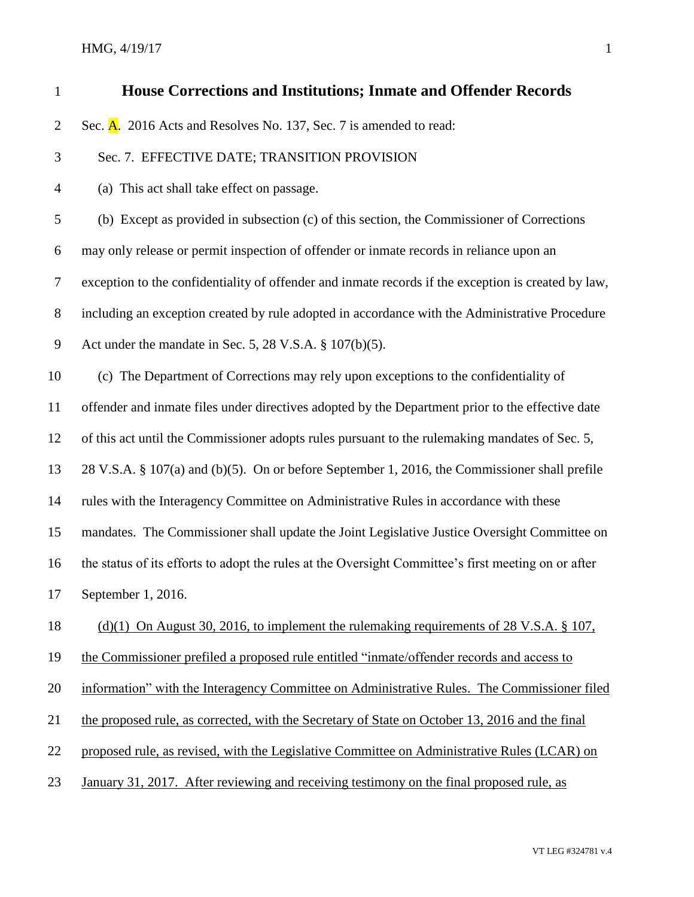HMG, 4/19/17 1

| $\mathbf{1}$   | <b>House Corrections and Institutions; Inmate and Offender Records</b>                              |
|----------------|-----------------------------------------------------------------------------------------------------|
| $\overline{2}$ | Sec. A. 2016 Acts and Resolves No. 137, Sec. 7 is amended to read:                                  |
| 3              | Sec. 7. EFFECTIVE DATE; TRANSITION PROVISION                                                        |
| $\overline{4}$ | (a) This act shall take effect on passage.                                                          |
| 5              | (b) Except as provided in subsection (c) of this section, the Commissioner of Corrections           |
| 6              | may only release or permit inspection of offender or inmate records in reliance upon an             |
| 7              | exception to the confidentiality of offender and inmate records if the exception is created by law, |
| $8\,$          | including an exception created by rule adopted in accordance with the Administrative Procedure      |
| $\mathbf{9}$   | Act under the mandate in Sec. 5, 28 V.S.A. $\S 107(b)(5)$ .                                         |
| 10             | (c) The Department of Corrections may rely upon exceptions to the confidentiality of                |
| 11             | offender and inmate files under directives adopted by the Department prior to the effective date    |
| 12             | of this act until the Commissioner adopts rules pursuant to the rulemaking mandates of Sec. 5,      |
| 13             | 28 V.S.A. § 107(a) and (b)(5). On or before September 1, 2016, the Commissioner shall prefile       |
| 14             | rules with the Interagency Committee on Administrative Rules in accordance with these               |
| 15             | mandates. The Commissioner shall update the Joint Legislative Justice Oversight Committee on        |
| 16             | the status of its efforts to adopt the rules at the Oversight Committee's first meeting on or after |
| 17             | September 1, 2016.                                                                                  |
| 18             | (d)(1) On August 30, 2016, to implement the rule making requirements of 28 V.S.A. $\S$ 107,         |
| 19             | the Commissioner prefiled a proposed rule entitled "inmate/offender records and access to           |
| 20             | information" with the Interagency Committee on Administrative Rules. The Commissioner filed         |
| 21             | the proposed rule, as corrected, with the Secretary of State on October 13, 2016 and the final      |
| 22             | proposed rule, as revised, with the Legislative Committee on Administrative Rules (LCAR) on         |
| 23             | January 31, 2017. After reviewing and receiving testimony on the final proposed rule, as            |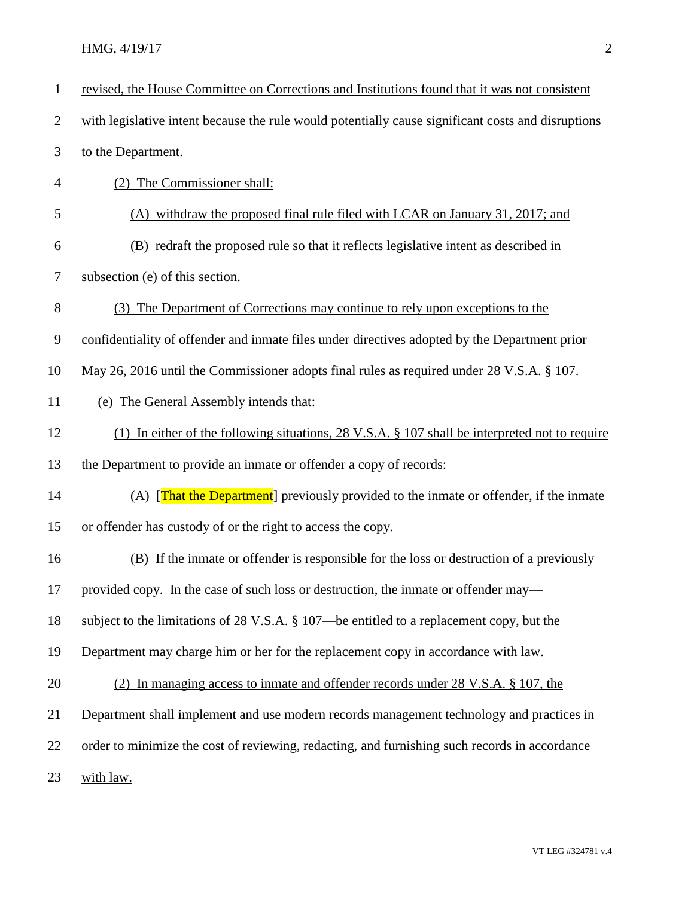| $\mathbf{1}$   | revised, the House Committee on Corrections and Institutions found that it was not consistent      |
|----------------|----------------------------------------------------------------------------------------------------|
| $\overline{c}$ | with legislative intent because the rule would potentially cause significant costs and disruptions |
| 3              | to the Department.                                                                                 |
| 4              | (2) The Commissioner shall:                                                                        |
| 5              | (A) withdraw the proposed final rule filed with LCAR on January 31, 2017; and                      |
| 6              | (B) redraft the proposed rule so that it reflects legislative intent as described in               |
| 7              | subsection (e) of this section.                                                                    |
| 8              | (3) The Department of Corrections may continue to rely upon exceptions to the                      |
| 9              | confidentiality of offender and inmate files under directives adopted by the Department prior      |
| 10             | May 26, 2016 until the Commissioner adopts final rules as required under 28 V.S.A. § 107.          |
| 11             | (e) The General Assembly intends that:                                                             |
| 12             | (1) In either of the following situations, 28 V.S.A. $\S$ 107 shall be interpreted not to require  |
| 13             | the Department to provide an inmate or offender a copy of records:                                 |
| 14             | (A) <b>That the Department</b> previously provided to the inmate or offender, if the inmate        |
| 15             | or offender has custody of or the right to access the copy.                                        |
| 16             | (B) If the inmate or offender is responsible for the loss or destruction of a previously           |
| 17             | provided copy. In the case of such loss or destruction, the inmate or offender may—                |
| 18             | subject to the limitations of 28 V.S.A. § 107—be entitled to a replacement copy, but the           |
| 19             | Department may charge him or her for the replacement copy in accordance with law.                  |
| 20             | (2) In managing access to inmate and offender records under 28 V.S.A. § 107, the                   |
| 21             | Department shall implement and use modern records management technology and practices in           |
| 22             | order to minimize the cost of reviewing, redacting, and furnishing such records in accordance      |
| 23             | with law.                                                                                          |